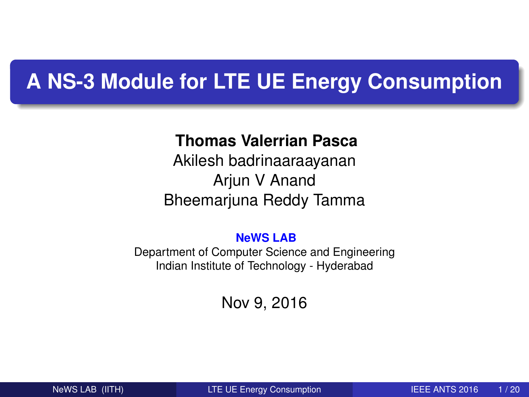# **A NS-3 Module for LTE UE Energy Consumption**

### **Thomas Valerrian Pasca**

Akilesh badrinaaraayanan Arjun V Anand Bheemarjuna Reddy Tamma

#### **NeWS LAB**

Department of Computer Science and Engineering Indian Institute of Technology - Hyderabad

### <span id="page-0-0"></span>Nov 9, 2016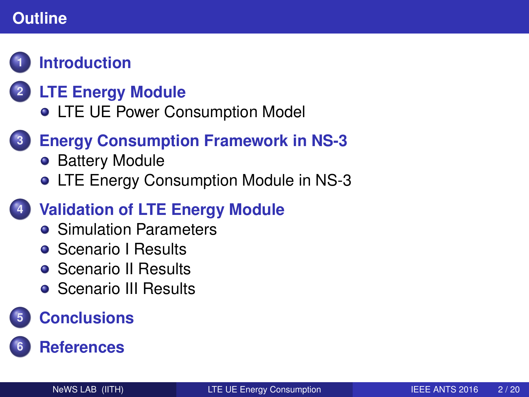# **Outline**

# **1 [Introduction](#page-2-0)**

# **2 [LTE Energy Module](#page-4-0)**

**• [LTE UE Power Consumption Model](#page-4-0)** 

# **3 [Energy Consumption Framework in NS-3](#page-7-0)**

- [Battery Module](#page-8-0)
- [LTE Energy Consumption Module in NS-3](#page-9-0)

# **4 [Validation of LTE Energy Module](#page-11-0)**

- **•** [Simulation Parameters](#page-11-0)
- **[Scenario I Results](#page-12-0)**
- **[Scenario II Results](#page-13-0)**
- **[Scenario III Results](#page-14-0)**

# **5 [Conclusions](#page-16-0)**

# **6 [References](#page-18-0)**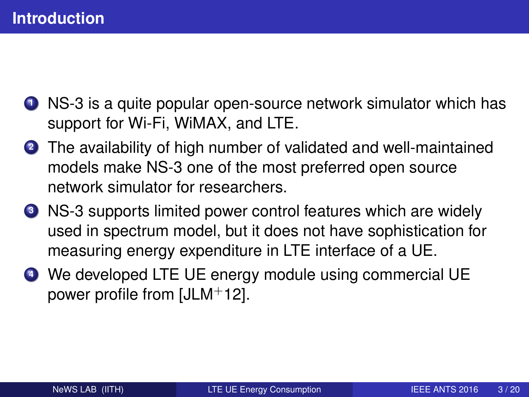- **<sup>1</sup>** NS-3 is a quite popular open-source network simulator which has support for Wi-Fi, WiMAX, and LTE.
- **<sup>2</sup>** The availability of high number of validated and well-maintained models make NS-3 one of the most preferred open source network simulator for researchers.
- **<sup>3</sup>** NS-3 supports limited power control features which are widely used in spectrum model, but it does not have sophistication for measuring energy expenditure in LTE interface of a UE.
- <span id="page-2-0"></span>**<sup>4</sup>** We developed LTE UE energy module using commercial UE power profile from [\[JLM](#page-18-1)+12].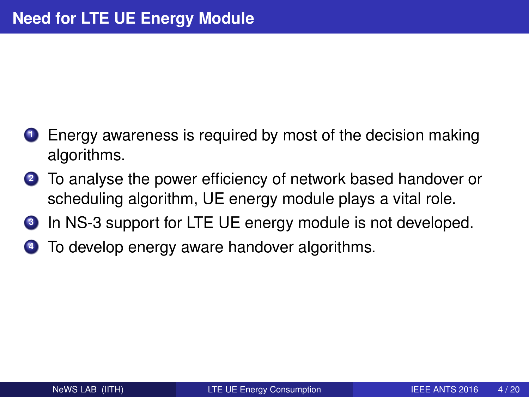- **<sup>1</sup>** Energy awareness is required by most of the decision making algorithms.
- **<sup>2</sup>** To analyse the power efficiency of network based handover or scheduling algorithm, UE energy module plays a vital role.
- **<sup>3</sup>** In NS-3 support for LTE UE energy module is not developed.
- **<sup>4</sup>** To develop energy aware handover algorithms.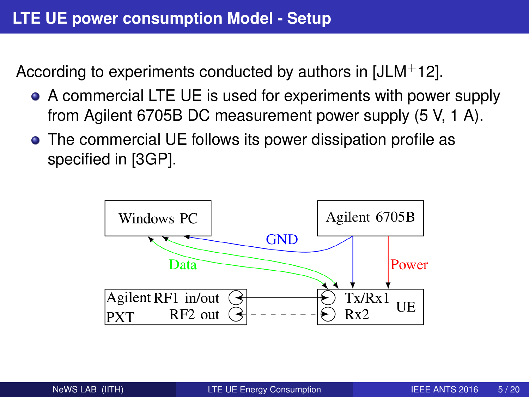According to experiments conducted by authors in [\[JLM](#page-18-1)+12].

- A commercial LTE UE is used for experiments with power supply from Agilent 6705B DC measurement power supply (5 V, 1 A).
- The commercial UE follows its power dissipation profile as specified in [\[3GP\]](#page-18-2).

<span id="page-4-0"></span>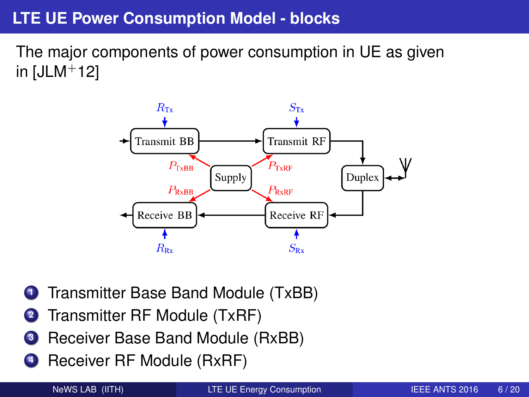## **LTE UE Power Consumption Model - blocks**

The major components of power consumption in UE as given in  $[JLM+12]$  $[JLM+12]$ 



- **<sup>1</sup>** Transmitter Base Band Module (TxBB)
- **<sup>2</sup>** Transmitter RF Module (TxRF)
- **<sup>3</sup>** Receiver Base Band Module (RxBB)
- **<sup>4</sup>** Receiver RF Module (RxRF)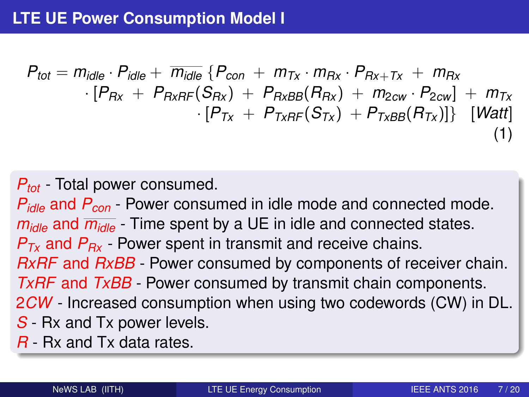$$
P_{tot} = m_{idle} \cdot P_{idle} + \overline{m}_{idle} \{P_{con} + m_{Tx} \cdot m_{Rx} \cdot P_{Rx+Tx} + m_{Rx} \cdot P_{Rx} + P_{RxRF}(S_{Rx}) + P_{RxBB}(R_{Rx}) + m_{2cw} \cdot P_{2cw}] + m_{Tx} \cdot [P_{Tx} + P_{TxRF}(S_{Tx}) + P_{TxBB}(R_{Tx})]\} \cdot [Watt]
$$
\n(1)

### *Ptot* - Total power consumed.

*Pidle* and *Pcon* - Power consumed in idle mode and connected mode. *midle* and *midle* - Time spent by a UE in idle and connected states. *PTx* and *PRx* - Power spent in transmit and receive chains. *RxRF* and *RxBB* - Power consumed by components of receiver chain. *TxRF* and *TxBB* - Power consumed by transmit chain components. 2*CW* - Increased consumption when using two codewords (CW) in DL. *S* - Rx and Tx power levels.

*R* - Rx and Tx data rates.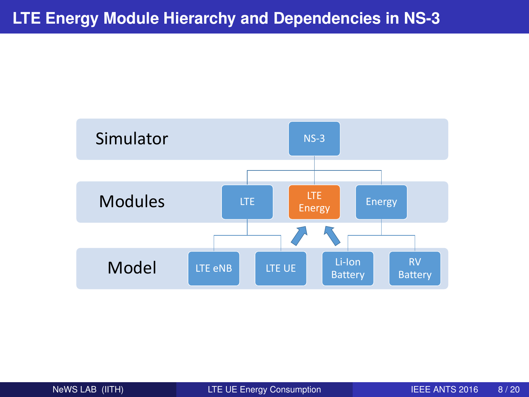<span id="page-7-0"></span>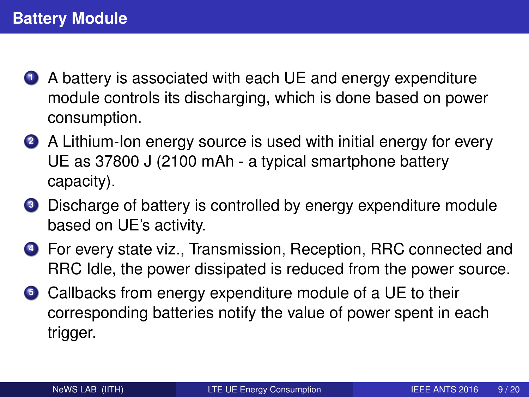- **<sup>1</sup>** A battery is associated with each UE and energy expenditure module controls its discharging, which is done based on power consumption.
- **<sup>2</sup>** A Lithium-Ion energy source is used with initial energy for every UE as 37800 J (2100 mAh - a typical smartphone battery capacity).
- **<sup>3</sup>** Discharge of battery is controlled by energy expenditure module based on UE's activity.
- **<sup>4</sup>** For every state viz., Transmission, Reception, RRC connected and RRC Idle, the power dissipated is reduced from the power source.
- <span id="page-8-0"></span>**<sup>5</sup>** Callbacks from energy expenditure module of a UE to their corresponding batteries notify the value of power spent in each trigger.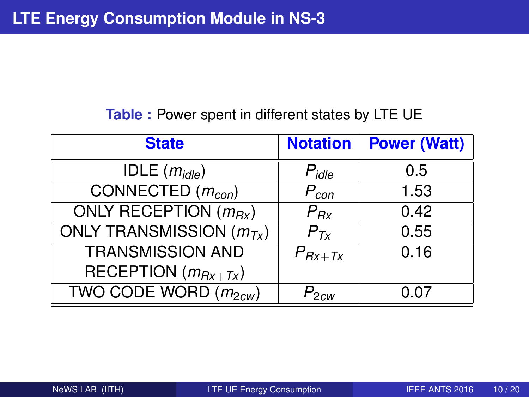#### <span id="page-9-0"></span>**Table :** Power spent in different states by LTE UE

| <b>State</b>                                        | <b>Notation</b>  | <b>Power (Watt)</b> |
|-----------------------------------------------------|------------------|---------------------|
| $\overline{\text{IDE}}$ ( <i>m<sub>idle</sub></i> ) | $P_{idle}$       | 0.5                 |
| CONNECTED $(m_{con})$                               | $P_{con}$        | 1.53                |
| ONLY RECEPTION $(m_{Bx})$                           | $P_{Rx}$         | 0.42                |
| ONLY TRANSMISSION $(m_{Tx})$                        | $P_{Tx}$         | 0.55                |
| <b>TRANSMISSION AND</b>                             | $P_{Rx+Tx}$      | 0.16                |
| RECEPTION $(m_{Rx+Tx})$                             |                  |                     |
| TWO CODE WORD $(m_{2cw})$                           | $P_{2\text{cw}}$ | 0.07                |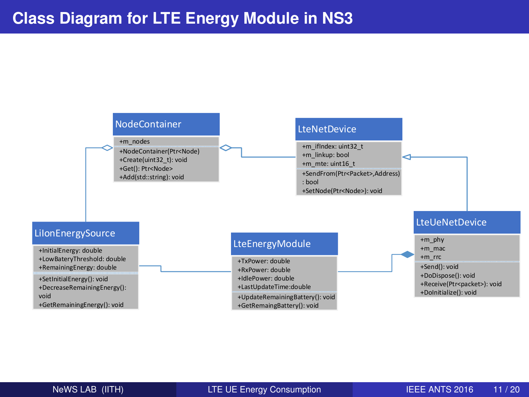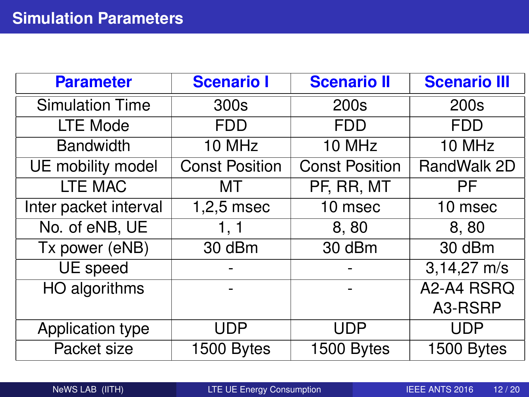<span id="page-11-0"></span>

| <b>Parameter</b>       | <b>Scenario I</b>     | <b>Scenario II</b>    | <b>Scenario III</b> |
|------------------------|-----------------------|-----------------------|---------------------|
| <b>Simulation Time</b> | 300s                  | 200s                  | 200s                |
| LTE Mode               | <b>FDD</b>            | <b>FDD</b>            | <b>FDD</b>          |
| <b>Bandwidth</b>       | 10 MHz                | 10 MHz                | 10 MHz              |
| UE mobility model      | <b>Const Position</b> | <b>Const Position</b> | RandWalk 2D         |
| <b>LTE MAC</b>         | мт                    | PF, RR, MT            | <b>PF</b>           |
| Inter packet interval  | $1,2,5$ msec          | 10 msec               | 10 msec             |
| No. of eNB, UE         | 1, 1                  | 8,80                  | 8,80                |
| Tx power (eNB)         | 30 dBm                | 30 dBm                | 30 dBm              |
| UE speed               |                       |                       | $3,14,27$ m/s       |
| HO algorithms          |                       |                       | A2-A4 RSRQ          |
|                        |                       |                       | A3-RSRP             |
| Application type       | <b>UDP</b>            | <b>UDP</b>            | <b>UDP</b>          |
| Packet size            | 1500 Bytes            | 1500 Bytes            | 1500 Bytes          |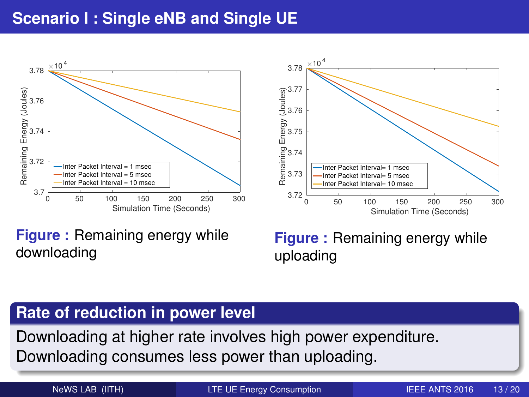### **Scenario I : Single eNB and Single UE**



**Figure :** Remaining energy while downloading

<span id="page-12-0"></span>**Figure :** Remaining energy while uploading

### **Rate of reduction in power level**

Downloading at higher rate involves high power expenditure. Downloading consumes less power than uploading.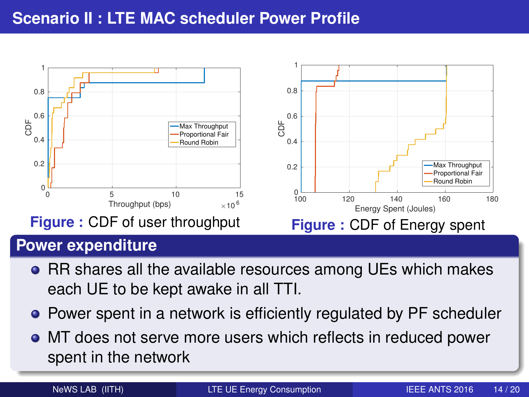### **Scenario II : LTE MAC scheduler Power Profile**



### **Power expenditure**

- RR shares all the available resources among UEs which makes each UE to be kept awake in all TTI.
- Power spent in a network is efficiently regulated by PF scheduler
- MT does not serve more users which reflects in reduced power spent in the network

<span id="page-13-0"></span>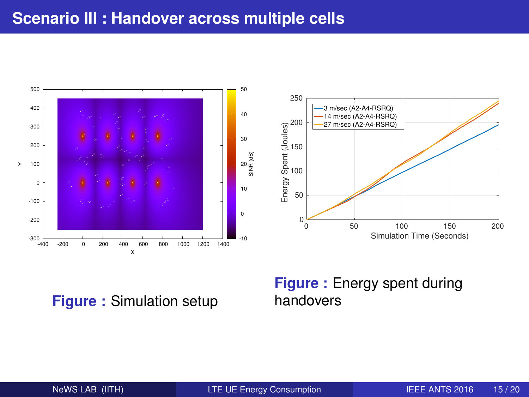

**Figure :** Simulation setup

#### <span id="page-14-0"></span>**Figure :** Energy spent during handovers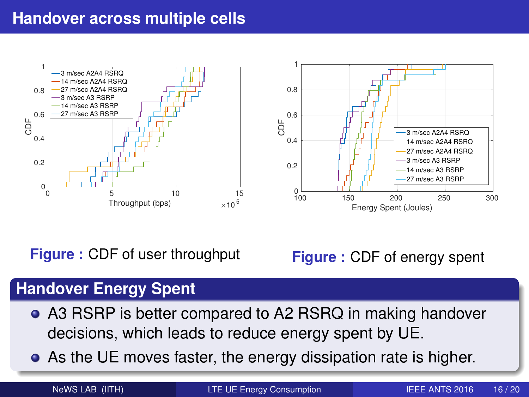### **Handover across multiple cells**



**Figure :** CDF of user throughput

**Figure :** CDF of energy spent

### **Handover Energy Spent**

- A3 RSRP is better compared to A2 RSRQ in making handover decisions, which leads to reduce energy spent by UE.
- As the UE moves faster, the energy dissipation rate is higher.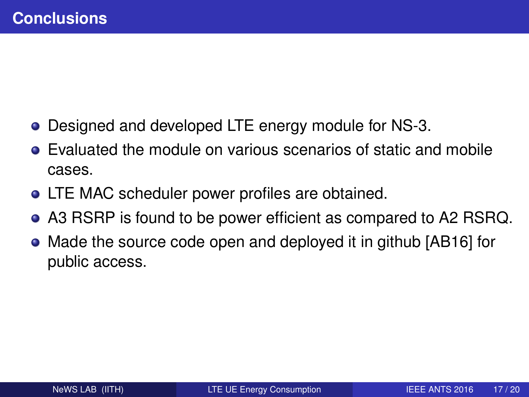- Designed and developed LTE energy module for NS-3.
- Evaluated the module on various scenarios of static and mobile cases.
- LTE MAC scheduler power profiles are obtained.
- A3 RSRP is found to be power efficient as compared to A2 RSRQ.
- <span id="page-16-0"></span>Made the source code open and deployed it in github [\[AB16\]](#page-18-3) for public access.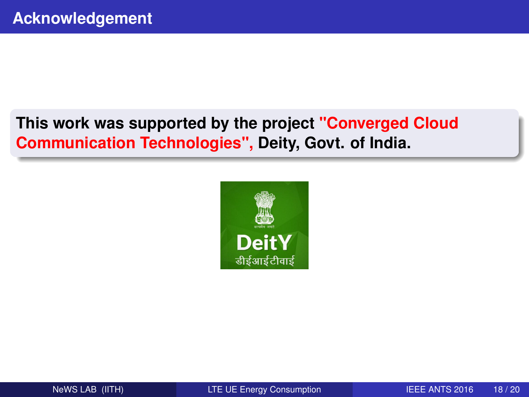# **This work was supported by the project "Converged Cloud Communication Technologies", Deity, Govt. of India.**

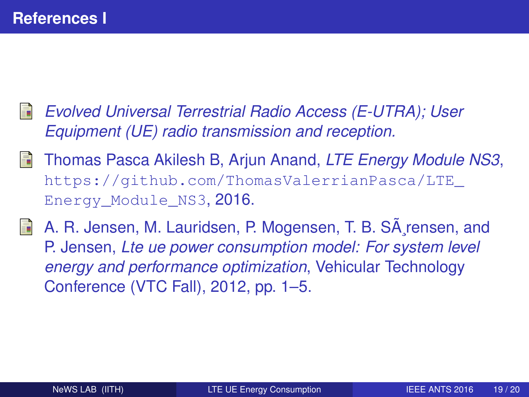- <span id="page-18-2"></span>*Evolved Universal Terrestrial Radio Access (E-UTRA); User Equipment (UE) radio transmission and reception.*
- <span id="page-18-3"></span>Thomas Pasca Akilesh B, Arjun Anand, *LTE Energy Module NS3*, [https://github.com/ThomasValerrianPasca/LTE\\_](https://github.com/ThomasValerrianPasca/LTE_Energy_Module_NS3) Energy Module NS3, 2016.
- <span id="page-18-1"></span><span id="page-18-0"></span>A. R. Jensen, M. Lauridsen, P. Mogensen, T. B. SA rensen, and E. P. Jensen, *Lte ue power consumption model: For system level energy and performance optimization*, Vehicular Technology Conference (VTC Fall), 2012, pp. 1–5.